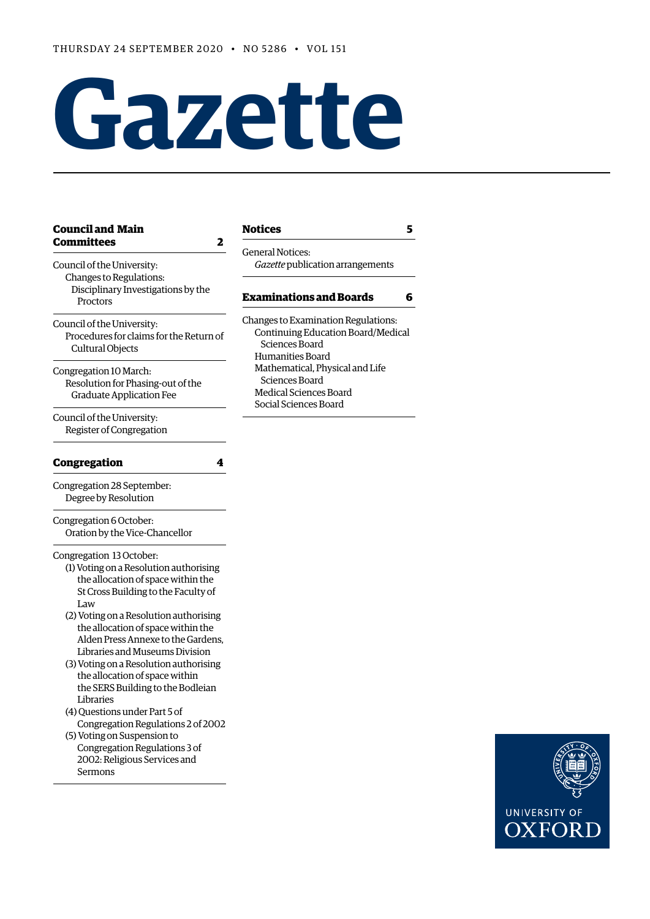# **Gazette**

#### **[Council and Main](#page-1-0)  [Committees 2](#page-1-0)**

| Council of the University:<br>Changes to Regulations:<br>Disciplinary Investigations by the<br>Proctors                                                                                                                                | uchcianvucco.<br>Gazette publication ar                                                   |
|----------------------------------------------------------------------------------------------------------------------------------------------------------------------------------------------------------------------------------------|-------------------------------------------------------------------------------------------|
|                                                                                                                                                                                                                                        | <b>Examinations and B</b>                                                                 |
| Council of the University:<br>Procedures for claims for the Return of<br>Cultural Objects                                                                                                                                              | Changes to Examination<br>Continuing Education<br>Sciences Board<br>Humanities Board      |
| Congregation 10 March:<br>Resolution for Phasing-out of the<br><b>Graduate Application Fee</b>                                                                                                                                         | Mathematical, Physica<br>Sciences Board<br>Medical Sciences Boar<br>Social Sciences Board |
| Council of the University:<br>Register of Congregation                                                                                                                                                                                 |                                                                                           |
| Congregation<br>4                                                                                                                                                                                                                      |                                                                                           |
| Congregation 28 September:<br>Degree by Resolution                                                                                                                                                                                     |                                                                                           |
| Congregation 6 October:<br>Oration by the Vice-Chancellor                                                                                                                                                                              |                                                                                           |
| Congregation 13 October:<br>(1) Voting on a Resolution authorising<br>the allocation of space within the<br>St Cross Building to the Faculty of<br>Law<br>(2) Voting on a Resolution authorising<br>the allocation of space within the |                                                                                           |

- the allocation of space within the Alden Press Annexe to the Gardens, Libraries and Museums Division
- (3) Voting on a Resolution authorising the allocation of space within the SERS Building to the Bodleian Libraries
- (4) Questions under Part 5 of Congregation Regulations 2 of 2002 (5) Voting on Suspension to Congregation Regulations 3 of
- 2002: Religious Services and Sermons

#### **[Notices](#page-4-0) 5**

General Notices: rangements

## **Example 3**

Regulations: n Board/Medical al and Life Medical Sciences Board Social Sciences Board

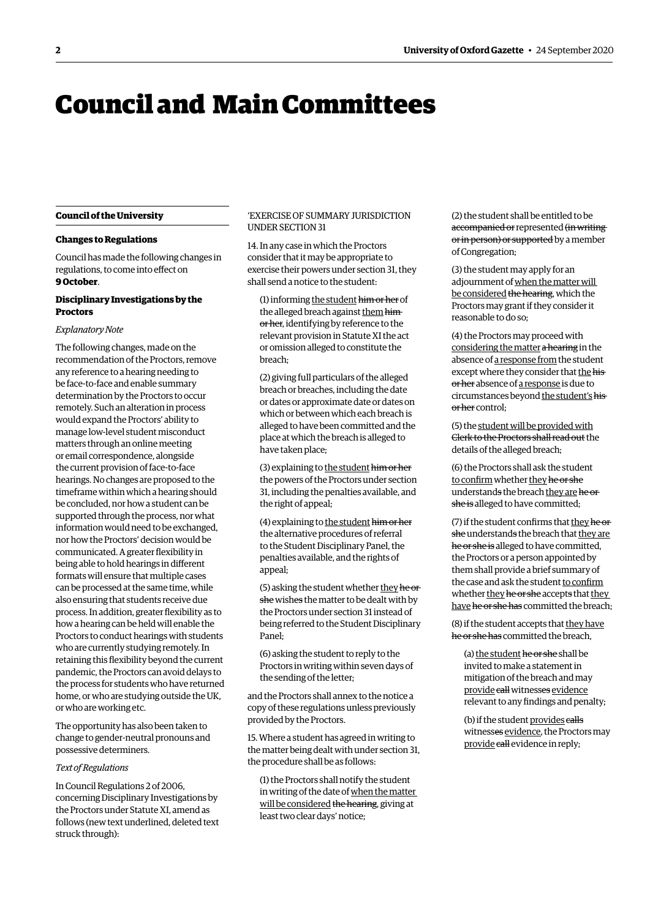# <span id="page-1-0"></span>Council and Main Committees

#### **Council of the University**

#### **Changes to Regulations**

Council has made the following changes in regulations, to come into efect on **9 October**.

#### **Disciplinary Investigations by the Proctors**

#### *Explanatory Note*

The following changes, made on the recommendation of the Proctors, remove any reference to a hearing needing to be face-to-face and enable summary determination by the Proctors to occur remotely. Such an alteration in process would expand the Proctors' ability to manage low-level student misconduct matters through an online meeting or email correspondence, alongside the current provision of face-to-face hearings. No changes are proposed to the timeframe within which a hearing should be concluded, nor how a student can be supported through the process, nor what information would need to be exchanged, nor how the Proctors' decision would be communicated. A greater fexibility in being able to hold hearings in diferent formats will ensure that multiple cases can be processed at the same time, while also ensuring that students receive due process. In addition, greater fexibility as to how a hearing can be held will enable the Proctors to conduct hearings with students who are currently studying remotely. In retaining this fexibility beyond the current pandemic, the Proctors can avoid delays to the process for students who have returned home, or who are studying outside the UK, or who are working etc.

The opportunity has also been taken to change to gender-neutral pronouns and possessive determiners.

#### *Text of Regulations*

In Council Regulations 2 of 2006, concerning Disciplinary Investigations by the Proctors under Statute XI, amend as follows (new text underlined, deleted text struck through):

#### 'EXERCISE OF SUMMARY JURISDICTION (2) the student shall be entitled to be UNDER SECTION 31 accompanied or represented (in writing-

exercise their powers under section 31, they (3) the student may apply for an shall send a notice to the student:<br>adjournment of when the matter will

relevant provision in Statute XI the act (4) the Proctors may proceed with

alleged to have been committed and the (5) the student will be provided with place at which the breach is alleged to Clerk to the Proctors shall read out the have taken place; have taken place; have taken place; details of the alleged breach;

the powers of the Proctors under section to confirm whether they he or she 31, including the penalties available, and understands the breach they are he or the right of appeal; he right of appeal; she is alleged to have committed;

to the Student Disciplinary Panel, the he or she is alleged to have committed, penalties available, and the rights of the Proctors or a person appointed by appeal; them shall provide a brief summary of

being referred to the Student Disciplinary (8) if the student accepts that they have Panel: he or she has committed the breach,

(6) asking the student to reply to the (a) the student he or she shall be Proctors in writing within seven days of invited to make a statement in the sending of the letter: mitigation of the breach and may

and the Proctors shall annex to the notice a relevant to any findings and penalty;<br>copy of these regulations unless previously provided by the Proctors. (b) if the student provides calls

15. Where a student has agreed in writing to provide call evidence, the Proctors may<br>the matter being dealt with under section 31, provide call evidence in reply; the procedure shall be as follows:

(1) the Proctors shall notify the student in writing of the date of when the matter will be considered the hearing, giving at least two clear days' notice;

14. In any case in which the Proctors of the Proctors of Congregation;<br>consider that it may be appropriate to of Congregation;

(1) informing <u>the student him or her</u> of  $\frac{bc \text{ considered the hearing, which the  
Proctors may grant if they consider it  
or her, identifying by reference to the  
reasonable to do so;$ 

or omission alleged to constitute the considering the matter a hearing in the breach; breach; absence of a response from the student (2) giving full particulars of the alleged<br>breach or breaches, including the date<br>or dates or approximate date or dates on<br>which or between which each breach is<br>which or between which each breach is

(3) explaining to the student him or her (6) the Proctors shall ask the student

(4) explaining to the student him or her (7) if the student confirms that they he or the alternative procedures of referral she understands the breach that they are (5) asking the student whether <u>they he original</u> the case and ask the student <u>to confirm</u><br>she wishes the matter to be dealt with by<br>the Proctors under section 31 instead of have he or she has committed the breach;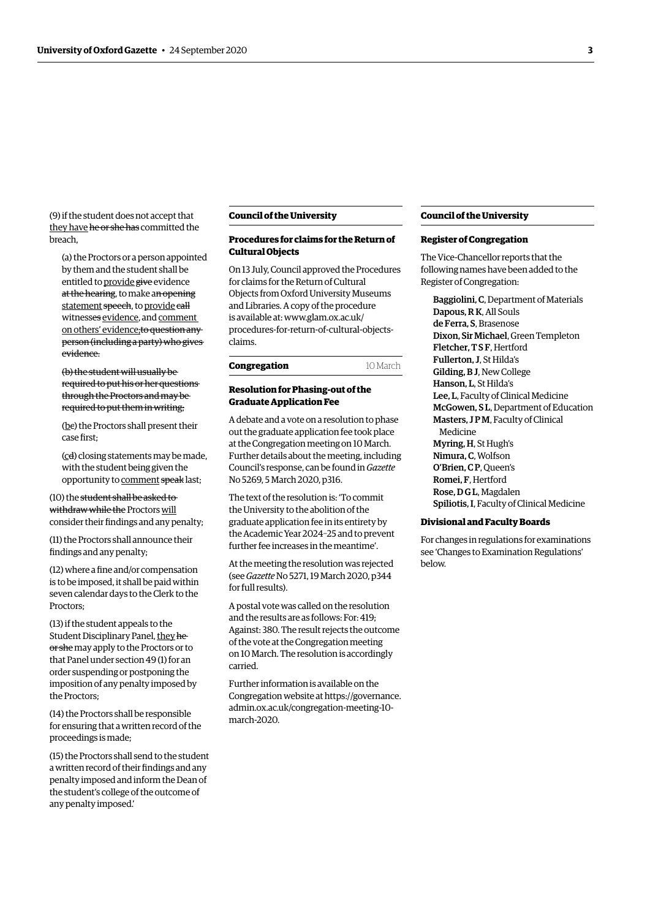(9) if the student does not accept that they have he or she has committed the breach,

(a) the Proctors or a person appointed by them and the student shall be entitled to provide give evidence at the hearing, to make an opening statement speech, to provide call witnesses evidence, and comment on others' evidence;to question any person (including a party) who gives evidence.

(b) the student will usually be required to put his or her questions through the Proctors and may be required to put them in writing;

(bc) the Proctors shall present their case frst;

(cd) closing statements may be made, with the student being given the opportunity to comment speak last;

(10) the student shall be asked to withdraw while the Proctors will consider their fndings and any penalty;

(11) the Proctors shall announce their fndings and any penalty;

(12) where a fine and/or compensation is to be imposed, it shall be paid within seven calendar days to the Clerk to the Proctors;

(13) if the student appeals to the Student Disciplinary Panel, they he or she may apply to the Proctors or to that Panel under section 49 (1) for an order suspending or postponing the imposition of any penalty imposed by the Proctors;

(14) the Proctors shall be responsible for ensuring that a written record of the proceedings is made;

(15) the Proctors shall send to the student a written record of their fndings and any penalty imposed and inform the Dean of the student's college of the outcome of any penalty imposed.'

#### **Council of the University**

#### **Procedures for claims for the Return of Cultural Objects**

On 13 July, Council approved the Procedures for claims for the Return of Cultural Objects from Oxford University Museums and Libraries. A copy of the procedure is available at: www.glam.ox.ac.uk/ [procedures-for-return-of-cultural-objects](www.glam.ox.ac.uk/procedures-for-return-of-cultural-objects-claims)claims.

| Congregation | 10 March |
|--------------|----------|
|--------------|----------|

#### **Resolution for Phasing-out of the Graduate Application Fee**

A debate and a vote on a resolution to phase out the graduate application fee took place at the Congregation meeting on 10 March. Further details about the meeting, including [Council's response, can be found in](https://gazette.web.ox.ac.uk/sites/default/files/gazette/documents/media/5_march_2020_-_no_5269_redacted.pdf#page=2) *Gazette*  No 5269, 5 March 2020, p316.

The text of the resolution is: 'To commit the University to the abolition of the graduate application fee in its entirety by the Academic Year 2024–25 and to prevent further fee increases in the meantime'.

[At the meeting the resolution was rejected](https://gazette.web.ox.ac.uk/files/19march2020-no5271redactedpdf#page=2)  (see *Gazette* No 5271, 19 March 2020, p344 for full results).

A postal vote was called on the resolution and the results are as follows: For: 419; Against: 380. The result rejects the outcome of the vote at the Congregation meeting on 10 March. The resolution is accordingly carried.

Further information is available on the [Congregation website at https://governance.](https://governance.admin.ox.ac.uk/congregation-meeting-10-march-2020)  admin.ox.ac.uk/congregation-meeting-10 march-2020.

#### **Council of the University**

#### **Register of Congregation**

The Vice-Chancellor reports that the following names have been added to the Register of Congregation:

Baggiolini, C, Department of Materials Dapous, R K, All Souls de Ferra, S, Brasenose Dixon, Sir Michael, Green Templeton Fletcher, T S F, Hertford Fullerton, J, St Hilda's Gilding, B J, New College Hanson, L, St Hilda's Lee, L, Faculty of Clinical Medicine McGowen, S L, Department of Education Masters, J P M, Faculty of Clinical Medicine Myring, H, St Hugh's Nimura, C, Wolfson O'Brien, C P, Queen's Romei, F, Hertford Rose, D G L, Magdalen Spiliotis, I, Faculty of Clinical Medicine

#### **Divisional and Faculty Boards**

For changes in regulations for examinations see ['Changes to Examination Regulations'](#page-5-1) below.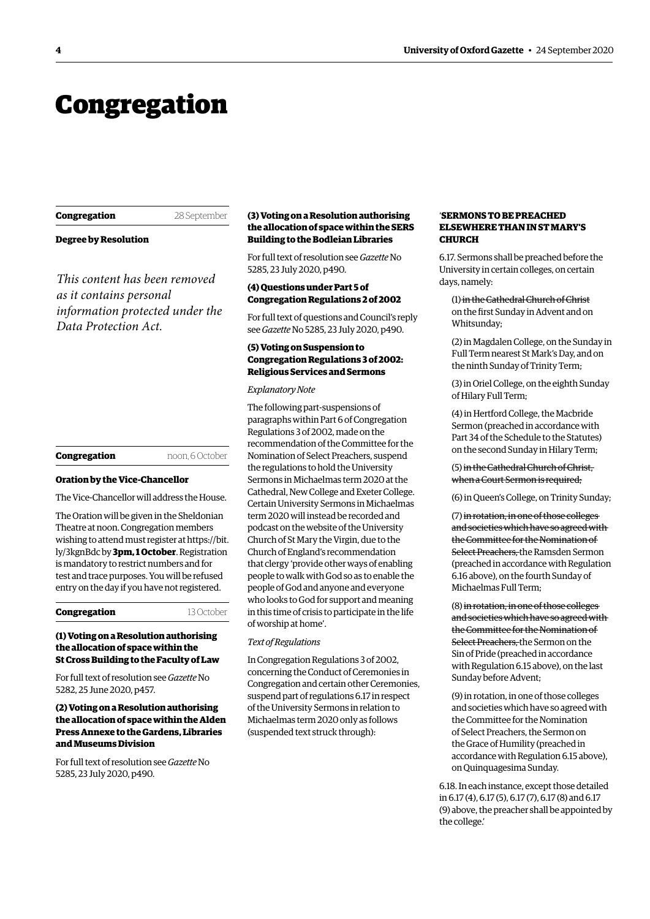## <span id="page-3-0"></span>Congregation

| Congregation |  |
|--------------|--|
|--------------|--|

**Congregation** 28 September

**Degree by Resolution** 

*This content has been removed as it contains personal information protected under the Data Protection Act.*

| noon, 6 October |
|-----------------|
|                 |

#### **Oration by the Vice-Chancellor**

The Vice-Chancellor will address the House.

The Oration will be given in the Sheldonian Theatre at noon. Congregation members [wishing to attend must register at https://bit.](https://bit.ly/3kgnBdc)  ly/3kgnBdc by **3pm, 1 October**. Registration is mandatory to restrict numbers and for test and trace purposes. You will be refused entry on the day if you have not registered.

**Congregation** 13 October

#### **(1) Voting on a Resolution authorising the allocation of space within the St Cross Building to the Faculty of Law**

[For full text of resolution see](https://gazette.web.ox.ac.uk/sites/default/files/gazette/documents/media/25_june_2020_-_no_5282_redacted.pdf#page=3) *Gazette* No 5282, 25 June 2020, p457.

#### **(2) Voting on a Resolution authorising the allocation of space within the Alden Press Annexe to the Gardens, Libraries and Museums Division**

[For full text of resolution see](https://gazette.web.ox.ac.uk/sites/default/files/gazette/documents/media/23_july_2020_-_no_5285_redacted.pdf#page=8) *Gazette* No 5285, 23 July 2020, p490.

#### **(3) Voting on a Resolution authorising the allocation of space within the SERS Building to the Bodleian Libraries**

[For full text of resolution see](https://gazette.web.ox.ac.uk/sites/default/files/gazette/documents/media/23_july_2020_-_no_5285_redacted.pdf#page=8) *Gazette* No 5285, 23 July 2020, p490.

#### **(4) Questions under Part 5 of Congregation Regulations 2 of 2002**

[For full text of questions and Council's reply](https://gazette.web.ox.ac.uk/sites/default/files/gazette/documents/media/23_july_2020_-_no_5285_redacted.pdf#page=8)  see *Gazette* No 5285, 23 July 2020, p490.

#### **(5) Voting on Suspension to Congregation Regulations 3 of 2002: Religious Services and Sermons**

#### *Explanatory Note*

The following part-suspensions of paragraphs within Part 6 of Congregation Regulations 3 of 2002, made on the recommendation of the Committee for the Nomination of Select Preachers, suspend the regulations to hold the University Sermons in Michaelmas term 2020 at the Cathedral, New College and Exeter College. Certain University Sermons in Michaelmas term 2020 will instead be recorded and podcast on the website of the University Church of St Mary the Virgin, due to the Church of England's recommendation that clergy 'provide other ways of enabling people to walk with God so as to enable the people of God and anyone and everyone who looks to God for support and meaning in this time of crisis to participate in the life of worship at home'.

#### *Text of Regulations*

In Congregation Regulations 3 of 2002, concerning the Conduct of Ceremonies in Congregation and certain other Ceremonies, suspend part of regulations 6.17 in respect of the University Sermons in relation to Michaelmas term 2020 only as follows (suspended text struck through):

#### '**SERMONS TO BE PREACHED ELSEWHERE THAN IN ST MARY'S CHURCH**

6.17. Sermons shall be preached before the University in certain colleges, on certain days, namely:

(1) in the Cathedral Church of Christ on the frst Sunday in Advent and on Whitsunday;

(2) in Magdalen College, on the Sunday in Full Term nearest St Mark's Day, and on the ninth Sunday of Trinity Term;

(3) in Oriel College, on the eighth Sunday of Hilary Full Term;

(4) in Hertford College, the Macbride Sermon (preached in accordance with Part 34 of the Schedule to the Statutes) on the second Sunday in Hilary Term;

(5) in the Cathedral Church of Christ, when a Court Sermon is required;

(6) in Queen's College, on Trinity Sunday;

(7) in rotation, in one of those colleges and societies which have so agreed with the Committee for the Nomination of Select Preachers, the Ramsden Sermon (preached in accordance with Regulation 6.16 above), on the fourth Sunday of Michaelmas Full Term;

(8) in rotation, in one of those colleges and societies which have so agreed with the Committee for the Nomination of Select Preachers, the Sermon on the Sin of Pride (preached in accordance with Regulation 6.15 above), on the last Sunday before Advent;

(9) in rotation, in one of those colleges and societies which have so agreed with the Committee for the Nomination of Select Preachers, the Sermon on the Grace of Humility (preached in accordance with Regulation 6.15 above), on Quinquagesima Sunday.

6.18. In each instance, except those detailed in 6.17 (4), 6.17 (5), 6.17 (7), 6.17 (8) and 6.17 (9) above, the preacher shall be appointed by the college.'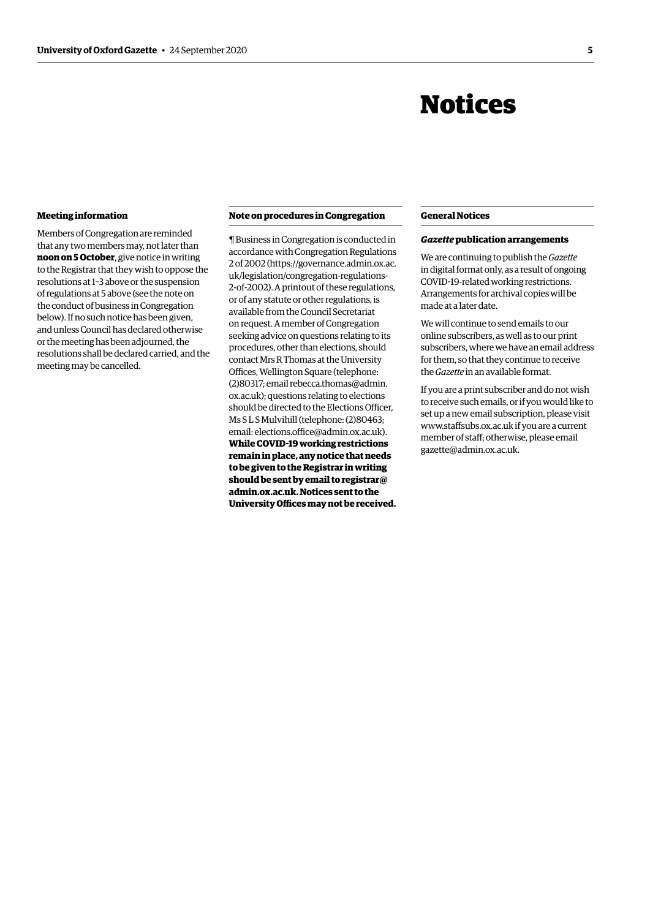## Notices

#### <span id="page-4-0"></span>**Meeting information**

Members of Congregation are reminded that any two members may, not later than **noon on 5 October**, give notice in writing to the Registrar that they wish to oppose the resolutions at 1–3 above or the suspension of regulations at 5 above (see the note on the conduct of business in Congregation below). If no such notice has been given, and unless Council has declared otherwise or the meeting has been adjourned, the resolutions shall be declared carried, and the meeting may be cancelled.

#### **Note on procedures in Congregation**

¶ Business in Congregation is conducted in accordance with Congregation Regulations [2 of 2002 \(https://governance.admin.ox.ac.](https://governance.admin.ox.ac.uk/legislation/congregation-regulations-2-of-2020)  uk/legislation/congregation-regulations-2-of-2002). A printout of these regulations, or of any statute or other regulations, is available from the Council Secretariat on request. A member of Congregation seeking advice on questions relating to its procedures, other than elections, should contact Mrs R Thomas at the University Offices, Wellington Square (telephone: (2)80317; email rebecca.thomas@admin. [ox.ac.uk\); questions relating to elections](mailto:rebecca.thomas@admin.ox.ac.uk)  should be directed to the Elections Officer. Ms S L S Mulvihill (telephone: (2)80463; email: elections.office@admin.ox.ac.uk). **While COVID-19 working restrictions remain in place, any notice that needs to be given to the Registrar in writing [should be sent by email to registrar@](mailto:registrar@admin.ox.ac.uk)  admin.ox.ac.uk. Notices sent to the**  University Offices may not be received.

#### **General Notices**

#### *Gazette* **publication arrangements**

We are continuing to publish the *Gazette*  in digital format only, as a result of ongoing COVID-19-related working restrictions. Arrangements for archival copies will be made at a later date.

We will continue to send emails to our online subscribers, as well as to our print subscribers, where we have an email address for them, so that they continue to receive the *Gazette* in an available format.

If you are a print subscriber and do not wish to receive such emails, or if you would like to set up a new email subscription, please visit [www.stafsubs.ox.ac.uk](www.staffsubs.ox.ac.uk) if you are a current member of staf; otherwise, please email [gazette@admin.ox.ac.uk](mailto:gazette@admin.ox.ac.uk).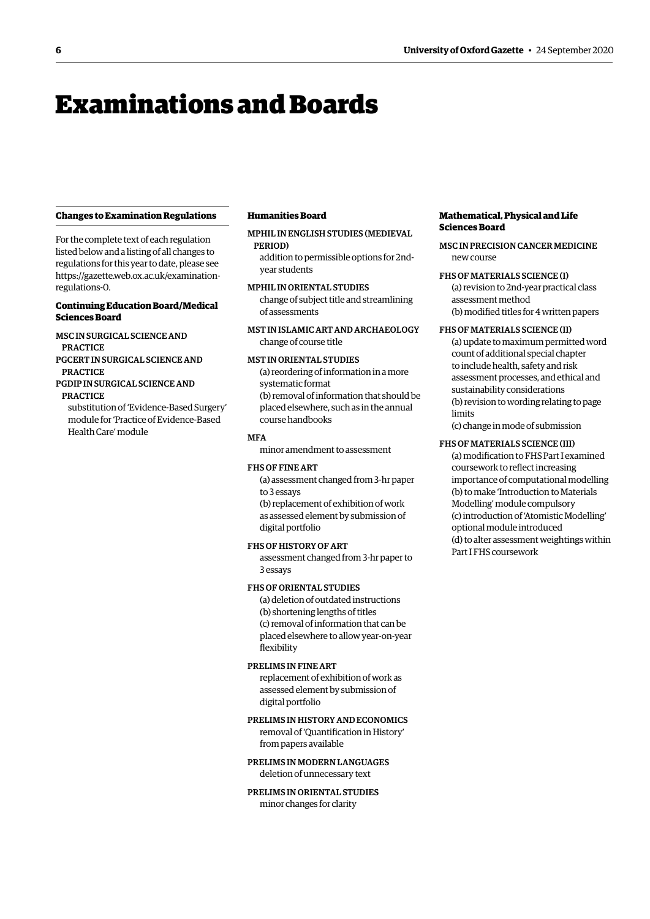# <span id="page-5-0"></span>Examinations and Boards

#### <span id="page-5-1"></span>**Changes to Examination Regulations**

For the complete text of each regulation listed below and a listing of all changes to regulations for this year to date, please see [https://gazette.web.ox.ac.uk/examination](https://gazette.web.ox.ac.uk/examination-regulations-0)[regulations-0](https://gazette.web.ox.ac.uk/examination-regulations-0).

#### **Continuing Education Board/Medical Sciences Board**

MSC IN SURGICAL SCIENCE AND PRACTICE PGCERT IN SURGICAL SCIENCE AND **PRACTICE** 

#### PGDIP IN SURGICAL SCIENCE AND PRACTICE

substitution of 'Evidence-Based Surgery' module for 'Practice of Evidence-Based Health Care' module

#### **Humanities Board**

MPHIL IN ENGLISH STUDIES (MEDIEVAL PERIOD)

addition to permissible options for 2ndyear students

MPHIL IN ORIENTAL STUDIES change of subject title and streamlining of assessments

MST IN ISLAMIC ART AND ARCHAEOLOGY change of course title

#### MST IN ORIENTAL STUDIES

(a) reordering of information in a more systematic format (b) removal of information that should be placed elsewhere, such as in the annual course handbooks

#### **MFA**

minor amendment to assessment

#### FHS OF FINE ART

(a) assessment changed from 3-hr paper to 3 essays

(b) replacement of exhibition of work as assessed element by submission of digital portfolio

#### FHS OF HISTORY OF ART

assessment changed from 3-hr paper to 3 essays

#### FHS OF ORIENTAL STUDIES

(a) deletion of outdated instructions (b) shortening lengths of titles (c) removal of information that can be placed elsewhere to allow year-on-year fexibility

#### PRELIMS IN FINE ART

replacement of exhibition of work as assessed element by submission of digital portfolio

PRELIMS IN HISTORY AND ECONOMICS removal of 'Quantifcation in History' from papers available

PRELIMS IN MODERN LANGUAGES deletion of unnecessary text

PRELIMS IN ORIENTAL STUDIES minor changes for clarity

#### **Mathematical, Physical and Life Sciences Board**

MSC IN PRECISION CANCER MEDICINE new course

FHS OF MATERIALS SCIENCE (I)

(a) revision to 2nd-year practical class assessment method (b) modifed titles for 4 written papers

#### FHS OF MATERIALS SCIENCE (II)

(a) update to maximum permitted word count of additional special chapter to include health, safety and risk assessment processes, and ethical and sustainability considerations (b) revision to wording relating to page limits

(c) change in mode of submission

#### FHS OF MATERIALS SCIENCE (III)

(a) modifcation to FHS Part I examined coursework to refect increasing importance of computational modelling (b) to make 'Introduction to Materials Modelling' module compulsory (c) introduction of 'Atomistic Modelling' optional module introduced (d) to alter assessment weightings within Part I FHS coursework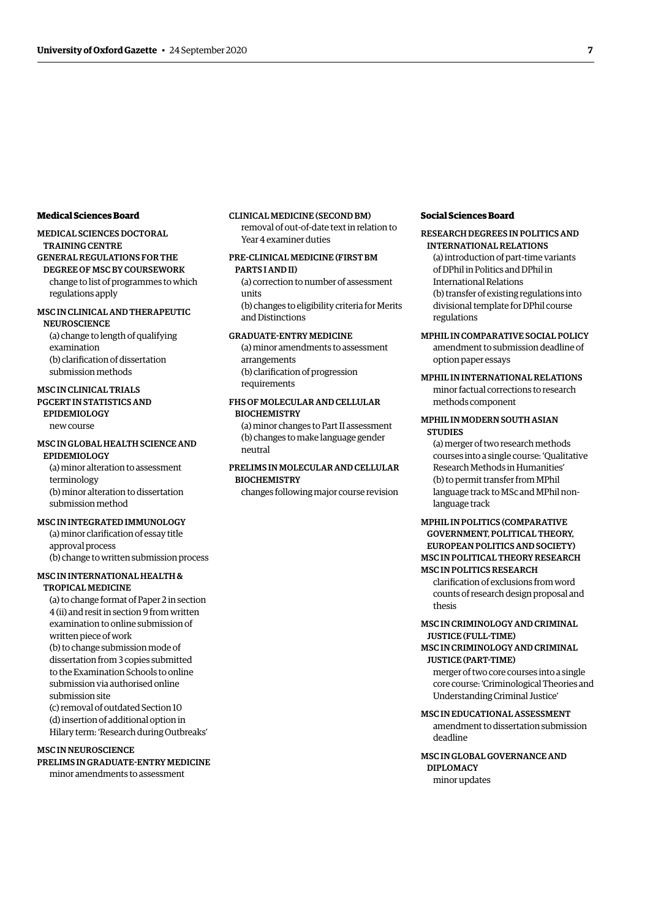#### **Medical Sciences Board**

#### MEDICAL SCIENCES DOCTORAL

TRAINING CENTRE

GENERAL REGULATIONS FOR THE DEGREE OF MSC BY COURSEWORK change to list of programmes to which regulations apply

#### MSC IN CLINICAL AND THERAPEUTIC **NEUROSCIENCE**

(a) change to length of qualifying examination (b) clarifcation of dissertation submission methods

## MSC IN CLINICAL TRIALS

PGCERT IN STATISTICS AND EPIDEMIOLOGY

new course

#### MSC IN GLOBAL HEALTH SCIENCE AND EPIDEMIOLOGY

(a) minor alteration to assessment terminology (b) minor alteration to dissertation submission method

#### MSC IN INTEGRATED IMMUNOLOGY

(a) minor clarifcation of essay title approval process (b) change to written submission process

#### MSC IN INTERNATIONAL HEALTH & TROPICAL MEDICINE

(a) to change format of Paper 2 in section 4 (ii) and resit in section 9 from written examination to online submission of written piece of work (b) to change submission mode of dissertation from 3 copies submitted to the Examination Schools to online submission via authorised online submission site (c) removal of outdated Section 10 (d) insertion of additional option in Hilary term: 'Research during Outbreaks'

#### MSC IN NEUROSCIENCE

PRELIMS IN GRADUATE-ENTRY MEDICINE minor amendments to assessment

#### CLINICAL MEDICINE (SECOND BM) removal of out-of-date text in relation to Year 4 examiner duties

#### PRE-CLINICAL MEDICINE (FIRST BM PARTS I AND II)

(a) correction to number of assessment units

(b) changes to eligibility criteria for Merits and Distinctions

#### GRADUATE-ENTRY MEDICINE

(a) minor amendments to assessment arrangements (b) clarifcation of progression requirements

#### FHS OF MOLECULAR AND CELLULAR **BIOCHEMISTRY**

(a) minor changes to Part II assessment (b) changes to make language gender neutral

#### PRELIMS IN MOLECULAR AND CELLULAR **BIOCHEMISTRY**

changes following major course revision

#### **Social Sciences Board**

#### RESEARCH DEGREES IN POLITICS AND INTERNATIONAL RELATIONS

(a) introduction of part-time variants of DPhil in Politics and DPhil in International Relations (b) transfer of existing regulations into divisional template for DPhil course regulations

#### MPHIL IN COMPARATIVE SOCIAL POLICY

amendment to submission deadline of option paper essays

#### MPHIL IN INTERNATIONAL RELATIONS

minor factual corrections to research methods component

#### MPHIL IN MODERN SOUTH ASIAN **STUDIES**

(a) merger of two research methods courses into a single course: 'Qualitative Research Methods in Humanities' (b) to permit transfer from MPhil language track to MSc and MPhil nonlanguage track

#### MPHIL IN POLITICS (COMPARATIVE GOVERNMENT, POLITICAL THEORY, EUROPEAN POLITICS AND SOCIETY) MSC IN POLITICAL THEORY RESEARCH MSC IN POLITICS RESEARCH

clarifcation of exclusions from word counts of research design proposal and thesis

#### MSC IN CRIMINOLOGY AND CRIMINAL JUSTICE (FULL-TIME)

#### MSC IN CRIMINOLOGY AND CRIMINAL JUSTICE (PART-TIME)

merger of two core courses into a single core course: 'Criminological Theories and Understanding Criminal Justice'

#### MSC IN EDUCATIONAL ASSESSMENT

amendment to dissertation submission deadline

#### MSC IN GLOBAL GOVERNANCE AND DIPLOMACY minor updates